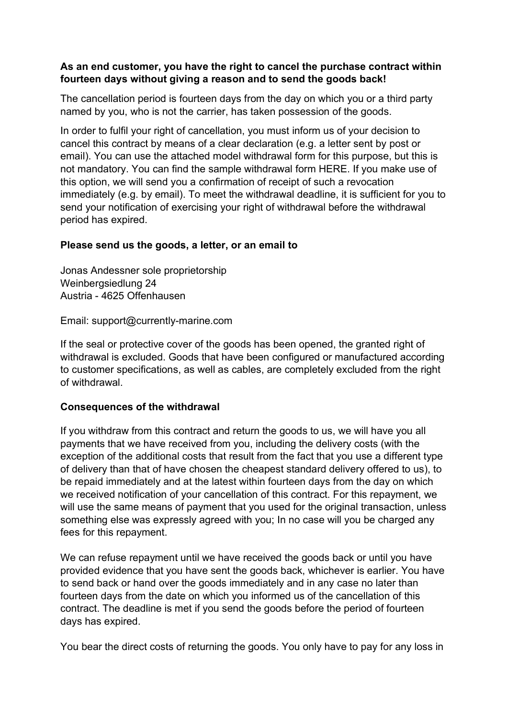## As an end customer, you have the right to cancel the purchase contract within fourteen days without giving a reason and to send the goods back!

The cancellation period is fourteen days from the day on which you or a third party named by you, who is not the carrier, has taken possession of the goods.

In order to fulfil your right of cancellation, you must inform us of your decision to cancel this contract by means of a clear declaration (e.g. a letter sent by post or email). You can use the attached model withdrawal form for this purpose, but this is not mandatory. You can find the sample withdrawal form HERE. If you make use of this option, we will send you a confirmation of receipt of such a revocation immediately (e.g. by email). To meet the withdrawal deadline, it is sufficient for you to send your notification of exercising your right of withdrawal before the withdrawal period has expired.

## Please send us the goods, a letter, or an email to

Jonas Andessner sole proprietorship Weinbergsiedlung 24 Austria - 4625 Offenhausen

Email: support@currently-marine.com

If the seal or protective cover of the goods has been opened, the granted right of withdrawal is excluded. Goods that have been configured or manufactured according to customer specifications, as well as cables, are completely excluded from the right of withdrawal.

## Consequences of the withdrawal

If you withdraw from this contract and return the goods to us, we will have you all payments that we have received from you, including the delivery costs (with the exception of the additional costs that result from the fact that you use a different type of delivery than that of have chosen the cheapest standard delivery offered to us), to be repaid immediately and at the latest within fourteen days from the day on which we received notification of your cancellation of this contract. For this repayment, we will use the same means of payment that you used for the original transaction, unless something else was expressly agreed with you; In no case will you be charged any fees for this repayment.

We can refuse repayment until we have received the goods back or until you have provided evidence that you have sent the goods back, whichever is earlier. You have to send back or hand over the goods immediately and in any case no later than fourteen days from the date on which you informed us of the cancellation of this contract. The deadline is met if you send the goods before the period of fourteen days has expired.

You bear the direct costs of returning the goods. You only have to pay for any loss in